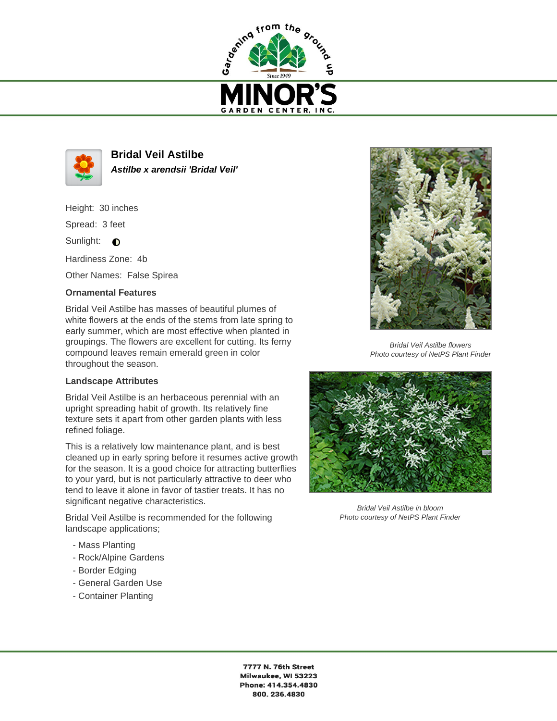



**Bridal Veil Astilbe Astilbe x arendsii 'Bridal Veil'**

Height: 30 inches

Spread: 3 feet

Sunlight:  $\bigcirc$ 

Hardiness Zone: 4b

Other Names: False Spirea

## **Ornamental Features**

Bridal Veil Astilbe has masses of beautiful plumes of white flowers at the ends of the stems from late spring to early summer, which are most effective when planted in groupings. The flowers are excellent for cutting. Its ferny compound leaves remain emerald green in color throughout the season.

## **Landscape Attributes**

Bridal Veil Astilbe is an herbaceous perennial with an upright spreading habit of growth. Its relatively fine texture sets it apart from other garden plants with less refined foliage.

This is a relatively low maintenance plant, and is best cleaned up in early spring before it resumes active growth for the season. It is a good choice for attracting butterflies to your yard, but is not particularly attractive to deer who tend to leave it alone in favor of tastier treats. It has no significant negative characteristics.

Bridal Veil Astilbe is recommended for the following landscape applications;

- Mass Planting
- Rock/Alpine Gardens
- Border Edging
- General Garden Use
- Container Planting



Bridal Veil Astilbe flowers Photo courtesy of NetPS Plant Finder



Bridal Veil Astilbe in bloom Photo courtesy of NetPS Plant Finder